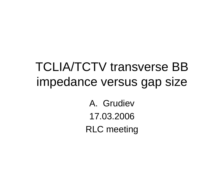# TCLIA/TCTV transverse BB impedance versus gap size

A. Grudiev 17.03.2006 RLC meeting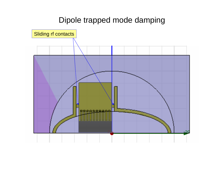### Dipole trapped mode damping

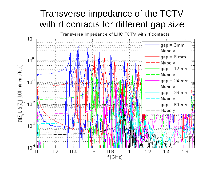### Transverse impe dance o f t he TCTV with rf contacts for different gap size

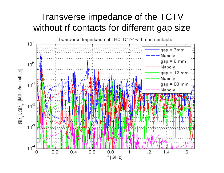### Transverse impedance of the TCTV without rf contacts for different gap size

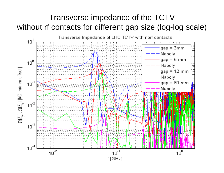### Transverse impedance of the TCTV without rf contacts for different gap size (log-log scale)

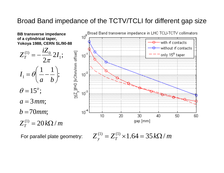#### Broad Band impedance of the TCTV/TCLI for different gap size



For parallel plate geometry:  $Z_v^{(1)} = Z_T^{(1)} \times 1.64 = 35 k\Omega/m$